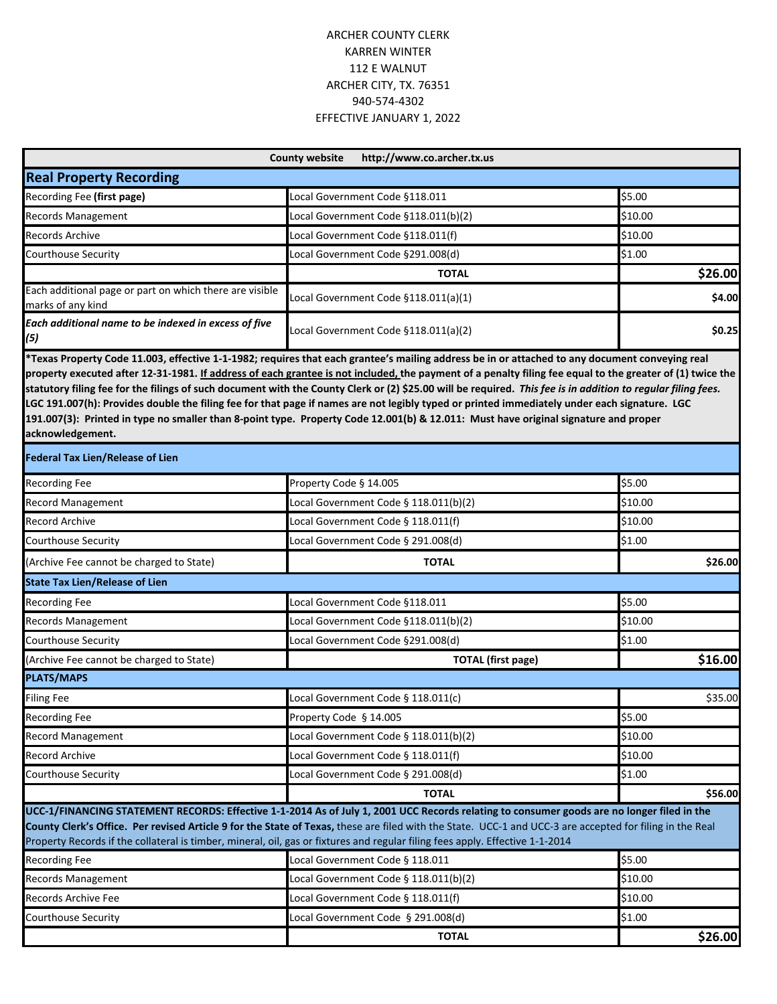| <b>County website</b><br>http://www.co.archer.tx.us<br><b>Real Property Recording</b> |                                                                                                                                                                                                                                                                                                                                                                                                                                                                                                                                                                                                                  |         |  |  |
|---------------------------------------------------------------------------------------|------------------------------------------------------------------------------------------------------------------------------------------------------------------------------------------------------------------------------------------------------------------------------------------------------------------------------------------------------------------------------------------------------------------------------------------------------------------------------------------------------------------------------------------------------------------------------------------------------------------|---------|--|--|
|                                                                                       |                                                                                                                                                                                                                                                                                                                                                                                                                                                                                                                                                                                                                  |         |  |  |
| Records Management                                                                    | Local Government Code §118.011(b)(2)                                                                                                                                                                                                                                                                                                                                                                                                                                                                                                                                                                             | \$10.00 |  |  |
| Records Archive                                                                       | Local Government Code §118.011(f)                                                                                                                                                                                                                                                                                                                                                                                                                                                                                                                                                                                | \$10.00 |  |  |
| Courthouse Security                                                                   | Local Government Code §291.008(d)                                                                                                                                                                                                                                                                                                                                                                                                                                                                                                                                                                                | \$1.00  |  |  |
|                                                                                       | <b>TOTAL</b>                                                                                                                                                                                                                                                                                                                                                                                                                                                                                                                                                                                                     | \$26.00 |  |  |
| Each additional page or part on which there are visible<br>marks of any kind          | Local Government Code §118.011(a)(1)                                                                                                                                                                                                                                                                                                                                                                                                                                                                                                                                                                             | \$4.00  |  |  |
| Each additional name to be indexed in excess of five<br>(5)                           | Local Government Code §118.011(a)(2)                                                                                                                                                                                                                                                                                                                                                                                                                                                                                                                                                                             | \$0.25  |  |  |
| acknowledgement.<br><b>Federal Tax Lien/Release of Lien</b>                           | property executed after 12-31-1981. If address of each grantee is not included, the payment of a penalty filing fee equal to the greater of (1) twice the<br>statutory filing fee for the filings of such document with the County Clerk or (2) \$25.00 will be required. This fee is in addition to regular filing fees.<br>LGC 191.007(h): Provides double the filing fee for that page if names are not legibly typed or printed immediately under each signature. LGC<br>191.007(3): Printed in type no smaller than 8-point type. Property Code 12.001(b) & 12.011: Must have original signature and proper |         |  |  |
|                                                                                       |                                                                                                                                                                                                                                                                                                                                                                                                                                                                                                                                                                                                                  |         |  |  |
| <b>Recording Fee</b>                                                                  | Property Code § 14.005                                                                                                                                                                                                                                                                                                                                                                                                                                                                                                                                                                                           | \$5.00  |  |  |
| <b>Record Management</b>                                                              | Local Government Code § 118.011(b)(2)                                                                                                                                                                                                                                                                                                                                                                                                                                                                                                                                                                            | \$10.00 |  |  |
| <b>Record Archive</b>                                                                 | Local Government Code § 118.011(f)                                                                                                                                                                                                                                                                                                                                                                                                                                                                                                                                                                               | \$10.00 |  |  |
| Courthouse Security                                                                   | Local Government Code § 291.008(d)                                                                                                                                                                                                                                                                                                                                                                                                                                                                                                                                                                               | \$1.00  |  |  |
| (Archive Fee cannot be charged to State)                                              | <b>TOTAL</b>                                                                                                                                                                                                                                                                                                                                                                                                                                                                                                                                                                                                     | \$26.00 |  |  |
| <b>State Tax Lien/Release of Lien</b>                                                 |                                                                                                                                                                                                                                                                                                                                                                                                                                                                                                                                                                                                                  |         |  |  |
| <b>Recording Fee</b>                                                                  | Local Government Code §118.011                                                                                                                                                                                                                                                                                                                                                                                                                                                                                                                                                                                   | \$5.00  |  |  |
| <b>Records Management</b>                                                             | Local Government Code §118.011(b)(2)                                                                                                                                                                                                                                                                                                                                                                                                                                                                                                                                                                             | \$10.00 |  |  |
| <b>Courthouse Security</b>                                                            | Local Government Code §291.008(d)                                                                                                                                                                                                                                                                                                                                                                                                                                                                                                                                                                                | \$1.00  |  |  |
| (Archive Fee cannot be charged to State)                                              | <b>TOTAL</b> (first page)                                                                                                                                                                                                                                                                                                                                                                                                                                                                                                                                                                                        | \$16.00 |  |  |
| <b>PLATS/MAPS</b>                                                                     |                                                                                                                                                                                                                                                                                                                                                                                                                                                                                                                                                                                                                  |         |  |  |
| <b>Filing Fee</b>                                                                     | Local Government Code § 118.011(c)                                                                                                                                                                                                                                                                                                                                                                                                                                                                                                                                                                               | \$35.00 |  |  |
| <b>Recording Fee</b>                                                                  | Property Code § 14.005                                                                                                                                                                                                                                                                                                                                                                                                                                                                                                                                                                                           | \$5.00  |  |  |
| <b>Record Management</b>                                                              | Local Government Code § 118.011(b)(2)                                                                                                                                                                                                                                                                                                                                                                                                                                                                                                                                                                            | \$10.00 |  |  |
| Record Archive                                                                        | Local Government Code § 118.011(f)                                                                                                                                                                                                                                                                                                                                                                                                                                                                                                                                                                               | \$10.00 |  |  |
| <b>Courthouse Security</b>                                                            | Local Government Code § 291.008(d)                                                                                                                                                                                                                                                                                                                                                                                                                                                                                                                                                                               | \$1.00  |  |  |
|                                                                                       | <b>TOTAL</b>                                                                                                                                                                                                                                                                                                                                                                                                                                                                                                                                                                                                     | \$56.00 |  |  |
|                                                                                       | UCC-1/FINANCING STATEMENT RECORDS: Effective 1-1-2014 As of July 1, 2001 UCC Records relating to consumer goods are no longer filed in the<br>County Clerk's Office. Per revised Article 9 for the State of Texas, these are filed with the State. UCC-1 and UCC-3 are accepted for filing in the Real                                                                                                                                                                                                                                                                                                           |         |  |  |
|                                                                                       | Property Records if the collateral is timber, mineral, oil, gas or fixtures and regular filing fees apply. Effective 1-1-2014                                                                                                                                                                                                                                                                                                                                                                                                                                                                                    | \$5.00  |  |  |
| <b>Recording Fee</b>                                                                  | Local Government Code § 118.011                                                                                                                                                                                                                                                                                                                                                                                                                                                                                                                                                                                  |         |  |  |
| Records Management                                                                    | Local Government Code § 118.011(b)(2)                                                                                                                                                                                                                                                                                                                                                                                                                                                                                                                                                                            | \$10.00 |  |  |
| Records Archive Fee                                                                   | Local Government Code § 118.011(f)                                                                                                                                                                                                                                                                                                                                                                                                                                                                                                                                                                               | \$10.00 |  |  |
| <b>Courthouse Security</b>                                                            | Local Government Code § 291.008(d)                                                                                                                                                                                                                                                                                                                                                                                                                                                                                                                                                                               | \$1.00  |  |  |
|                                                                                       | <b>TOTAL</b>                                                                                                                                                                                                                                                                                                                                                                                                                                                                                                                                                                                                     | \$26.00 |  |  |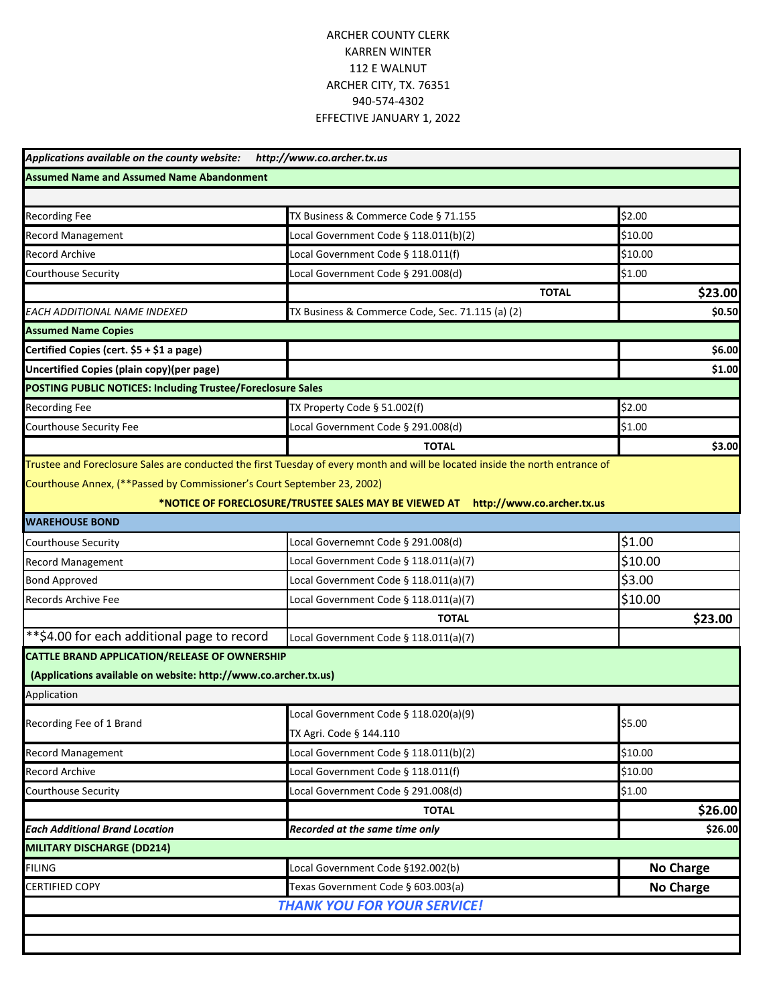| Applications available on the county website:                           | http://www.co.archer.tx.us                                                                                                                                                                                        |                  |
|-------------------------------------------------------------------------|-------------------------------------------------------------------------------------------------------------------------------------------------------------------------------------------------------------------|------------------|
| <b>Assumed Name and Assumed Name Abandonment</b>                        |                                                                                                                                                                                                                   |                  |
|                                                                         |                                                                                                                                                                                                                   |                  |
| <b>Recording Fee</b>                                                    | TX Business & Commerce Code § 71.155                                                                                                                                                                              | \$2.00           |
| <b>Record Management</b>                                                | Local Government Code § 118.011(b)(2)                                                                                                                                                                             | \$10.00          |
| <b>Record Archive</b>                                                   | Local Government Code § 118.011(f)                                                                                                                                                                                | \$10.00          |
| Courthouse Security                                                     | Local Government Code § 291.008(d)                                                                                                                                                                                | \$1.00           |
|                                                                         | <b>TOTAL</b>                                                                                                                                                                                                      | \$23.00          |
| EACH ADDITIONAL NAME INDEXED                                            | TX Business & Commerce Code, Sec. 71.115 (a) (2)                                                                                                                                                                  | \$0.50           |
| <b>Assumed Name Copies</b>                                              |                                                                                                                                                                                                                   |                  |
| Certified Copies (cert. \$5 + \$1 a page)                               |                                                                                                                                                                                                                   | \$6.00           |
| Uncertified Copies (plain copy)(per page)                               |                                                                                                                                                                                                                   | \$1.00           |
| POSTING PUBLIC NOTICES: Including Trustee/Foreclosure Sales             |                                                                                                                                                                                                                   |                  |
| <b>Recording Fee</b>                                                    | TX Property Code § 51.002(f)                                                                                                                                                                                      | \$2.00           |
| Courthouse Security Fee                                                 | Local Government Code § 291.008(d)                                                                                                                                                                                | \$1.00           |
|                                                                         | <b>TOTAL</b>                                                                                                                                                                                                      | \$3.00           |
| Courthouse Annex, (**Passed by Commissioner's Court September 23, 2002) | Trustee and Foreclosure Sales are conducted the first Tuesday of every month and will be located inside the north entrance of<br>*NOTICE OF FORECLOSURE/TRUSTEE SALES MAY BE VIEWED AT http://www.co.archer.tx.us |                  |
| <b>WAREHOUSE BOND</b>                                                   |                                                                                                                                                                                                                   |                  |
| <b>Courthouse Security</b>                                              | Local Governemnt Code § 291.008(d)                                                                                                                                                                                | \$1.00           |
| <b>Record Management</b>                                                | Local Government Code § 118.011(a)(7)                                                                                                                                                                             | \$10.00          |
| <b>Bond Approved</b>                                                    | Local Government Code § 118.011(a)(7)                                                                                                                                                                             | \$3.00           |
| <b>Records Archive Fee</b>                                              | Local Government Code § 118.011(a)(7)                                                                                                                                                                             | \$10.00          |
|                                                                         | <b>TOTAL</b>                                                                                                                                                                                                      | \$23.00          |
| ** \$4.00 for each additional page to record                            | Local Government Code § 118.011(a)(7)                                                                                                                                                                             |                  |
| <b>CATTLE BRAND APPLICATION/RELEASE OF OWNERSHIP</b>                    |                                                                                                                                                                                                                   |                  |
| (Applications available on website: http://www.co.archer.tx.us)         |                                                                                                                                                                                                                   |                  |
| Application                                                             |                                                                                                                                                                                                                   |                  |
|                                                                         | Local Government Code § 118.020(a)(9)                                                                                                                                                                             |                  |
| Recording Fee of 1 Brand                                                | TX Agri. Code § 144.110                                                                                                                                                                                           | \$5.00           |
| <b>Record Management</b>                                                | Local Government Code § 118.011(b)(2)                                                                                                                                                                             | \$10.00          |
| <b>Record Archive</b>                                                   | Local Government Code § 118.011(f)                                                                                                                                                                                | \$10.00          |
| Courthouse Security                                                     | Local Government Code § 291.008(d)                                                                                                                                                                                | \$1.00           |
|                                                                         | <b>TOTAL</b>                                                                                                                                                                                                      | \$26.00          |
| <b>Each Additional Brand Location</b>                                   | Recorded at the same time only                                                                                                                                                                                    | \$26.00          |
| <b>MILITARY DISCHARGE (DD214)</b>                                       |                                                                                                                                                                                                                   |                  |
| <b>FILING</b>                                                           | Local Government Code §192.002(b)                                                                                                                                                                                 | <b>No Charge</b> |
| <b>CERTIFIED COPY</b>                                                   | Texas Government Code § 603.003(a)                                                                                                                                                                                | <b>No Charge</b> |
|                                                                         | <b>THANK YOU FOR YOUR SERVICE!</b>                                                                                                                                                                                |                  |
|                                                                         |                                                                                                                                                                                                                   |                  |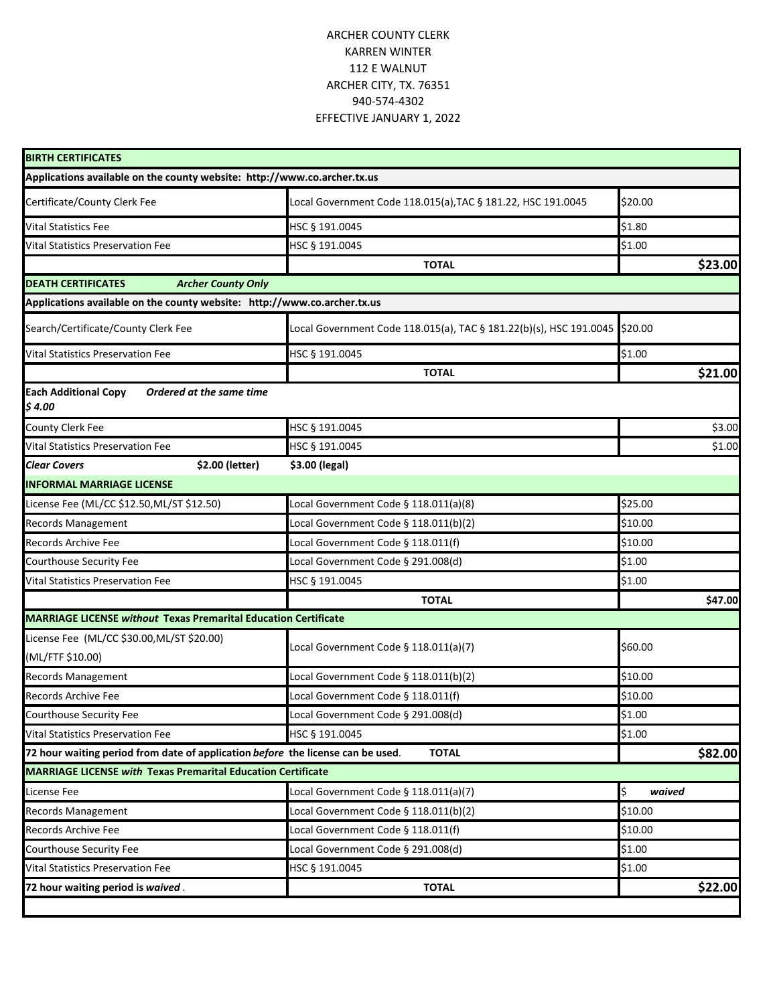| <b>BIRTH CERTIFICATES</b>                                                       |                                                                            |              |
|---------------------------------------------------------------------------------|----------------------------------------------------------------------------|--------------|
| Applications available on the county website: http://www.co.archer.tx.us        |                                                                            |              |
| Certificate/County Clerk Fee                                                    | Local Government Code 118.015(a),TAC § 181.22, HSC 191.0045                | \$20.00      |
| <b>Vital Statistics Fee</b>                                                     | HSC § 191.0045                                                             | \$1.80       |
| <b>Vital Statistics Preservation Fee</b>                                        | HSC § 191.0045                                                             | \$1.00       |
|                                                                                 | <b>TOTAL</b>                                                               | \$23.00      |
| <b>DEATH CERTIFICATES</b><br><b>Archer County Only</b>                          |                                                                            |              |
| Applications available on the county website: http://www.co.archer.tx.us        |                                                                            |              |
| Search/Certificate/County Clerk Fee                                             | Local Government Code 118.015(a), TAC § 181.22(b)(s), HSC 191.0045 \$20.00 |              |
| Vital Statistics Preservation Fee                                               | HSC § 191.0045                                                             | \$1.00       |
|                                                                                 | <b>TOTAL</b>                                                               | \$21.00      |
| <b>Each Additional Copy</b><br>Ordered at the same time<br>\$4.00               |                                                                            |              |
| County Clerk Fee                                                                | HSC § 191.0045                                                             | \$3.00       |
| <b>Vital Statistics Preservation Fee</b>                                        | HSC § 191.0045                                                             | \$1.00       |
| \$2.00 (letter)<br><b>Clear Covers</b>                                          | \$3.00 (legal)                                                             |              |
| <b>INFORMAL MARRIAGE LICENSE</b>                                                |                                                                            |              |
| License Fee (ML/CC \$12.50,ML/ST \$12.50)                                       | Local Government Code § 118.011(a)(8)                                      | \$25.00      |
| <b>Records Management</b>                                                       | Local Government Code § 118.011(b)(2)                                      | \$10.00      |
| <b>Records Archive Fee</b>                                                      | Local Government Code § 118.011(f)                                         | \$10.00      |
| Courthouse Security Fee                                                         | Local Government Code § 291.008(d)                                         | \$1.00       |
| <b>Vital Statistics Preservation Fee</b>                                        | HSC § 191.0045                                                             | \$1.00       |
|                                                                                 | <b>TOTAL</b>                                                               | \$47.00      |
| <b>MARRIAGE LICENSE without Texas Premarital Education Certificate</b>          |                                                                            |              |
| License Fee (ML/CC \$30.00, ML/ST \$20.00)                                      |                                                                            | \$60.00      |
| (ML/FTF \$10.00)                                                                | Local Government Code § 118.011(a)(7)                                      |              |
| <b>Records Management</b>                                                       | Local Government Code § 118.011(b)(2)                                      | \$10.00      |
| Records Archive Fee                                                             | Local Government Code § 118.011(f)                                         | \$10.00      |
| Courthouse Security Fee                                                         | Local Government Code § 291.008(d)                                         | \$1.00       |
| <b>Vital Statistics Preservation Fee</b>                                        | HSC § 191.0045                                                             | \$1.00       |
| 72 hour waiting period from date of application before the license can be used. | <b>TOTAL</b>                                                               | \$82.00      |
| <b>MARRIAGE LICENSE with Texas Premarital Education Certificate</b>             |                                                                            |              |
| License Fee                                                                     | Local Government Code § 118.011(a)(7)                                      | \$<br>waived |
| <b>Records Management</b>                                                       | Local Government Code § 118.011(b)(2)                                      | \$10.00      |
| Records Archive Fee                                                             | Local Government Code § 118.011(f)                                         | \$10.00      |
| Courthouse Security Fee                                                         | Local Government Code § 291.008(d)                                         | \$1.00       |
| <b>Vital Statistics Preservation Fee</b>                                        | HSC § 191.0045                                                             | \$1.00       |
| 72 hour waiting period is waived.                                               | <b>TOTAL</b>                                                               | \$22.00      |